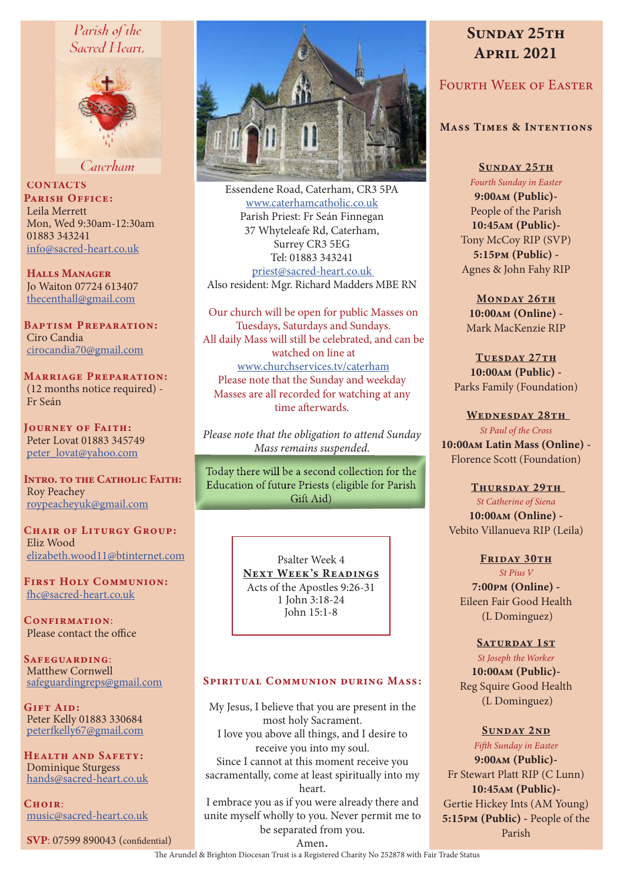## Parish of the Sacred Heart.



Caterham

**CONTACTS** PARISH OFFICE: Leila Merrett Mon, Wed 9:30am-12:30am 01883 343241 info@sacred-heart.co.uk

Halls Manager Jo Waiton 07724 613407 thecenthall@gmail.com

Baptism Preparation: Ciro Candia cirocandia70@gmail.com

Marriage Preparation: (12 months notice required) - Fr Seán

Journey of Faith: Peter Lovat 01883 345749 peter\_lovat@yahoo.com

INTRO. TO THE CATHOLIC FAITH: Roy Peachey roypeacheyuk@gmail.com

CHAIR OF LITURGY GROUP: Eliz Wood elizabeth.wood11@btinternet.com

First Holy Communion: fhc@sacred-heart.co.uk

CONFIRMATION: Please contact the office

Safeguarding: Matthew Cornwell safeguardingreps@gmail.com

Gift Aid: Peter Kelly 01883 330684 peterfkelly67@gmail.com

Health and Safety: Dominique Sturgess hands@sacred-heart.co.uk

 $C$ HOIR $\cdot$ music@sacred-heart.co.uk

SVP: 07599 890043 (confidential)



Essendene Road, Caterham, CR3 5PA www.caterhamcatholic.co.uk Parish Priest: Fr Seán Finnegan 37 Whyteleafe Rd, Caterham, Surrey CR3 5EG Tel: 01883 343241 priest@sacred-heart.co.uk Also resident: Mgr. Richard Madders MBE RN

Our church will be open for public Masses on Tuesdays, Saturdays and Sundays. All daily Mass will still be celebrated, and can be watched on line at www.churchservices.tv/caterham Please note that the Sunday and weekday Masses are all recorded for watching at any time afterwards.

*Please note that the obligation to attend Sunday Mass remains suspended.*

Today there will be a second collection for the Education of future Priests (eligible for Parish Gift Aid)

> Psalter Week 4 NEXT WEEK'S READINGS Acts of the Apostles 9:26-31 1 John 3:18-24 John 15:1-8

## SPIRITUAL COMMUNION DURING MASS:

My Jesus, I believe that you are present in the most holy Sacrament. I love you above all things, and I desire to receive you into my soul. Since I cannot at this moment receive you sacramentally, come at least spiritually into my heart. I embrace you as if you were already there and

unite myself wholly to you. Never permit me to be separated from you. Amen.

# SUNDAY 25TH April 2021

## FOURTH WEEK OF EASTER

## Mass Times & Intentions

SUNDAY 25TH *Fourth Sunday in Easter* 9:00am (Public)- People of the Parish 10:45am (Public)- Tony McCoy RIP (SVP) 5:15pm (Public) - Agnes & John Fahy RIP

MONDAY 26TH 10:00am (Online) - Mark MacKenzie RIP

TUESDAY 27TH 10:00am (Public) - Parks Family (Foundation)

WEDNESDAY 28TH *St Paul of the Cross* 10:00am Latin Mass (Online) - Florence Scott (Foundation)

THURSDAY 29TH *St Catherine of Siena* 10:00am (Online) - Vebito Villanueva RIP (Leila)

FRIDAY 30TH *St Pius V* 7:00pm (Online) - Eileen Fair Good Health (L Dominguez)

### SATURDAY 1ST

*St Joseph the Worker* 10:00am (Public)- Reg Squire Good Health (L Dominguez)

#### Sunday 2nd

*Fifth Sunday in Easter* 9:00am (Public)- Fr Stewart Platt RIP (C Lunn) 10:45am (Public)- Gertie Hickey Ints (AM Young) 5:15pm (Public) - People of the Parish

The Arundel & Brighton Diocesan Trust is a Registered Charity No 252878 with Fair Trade Status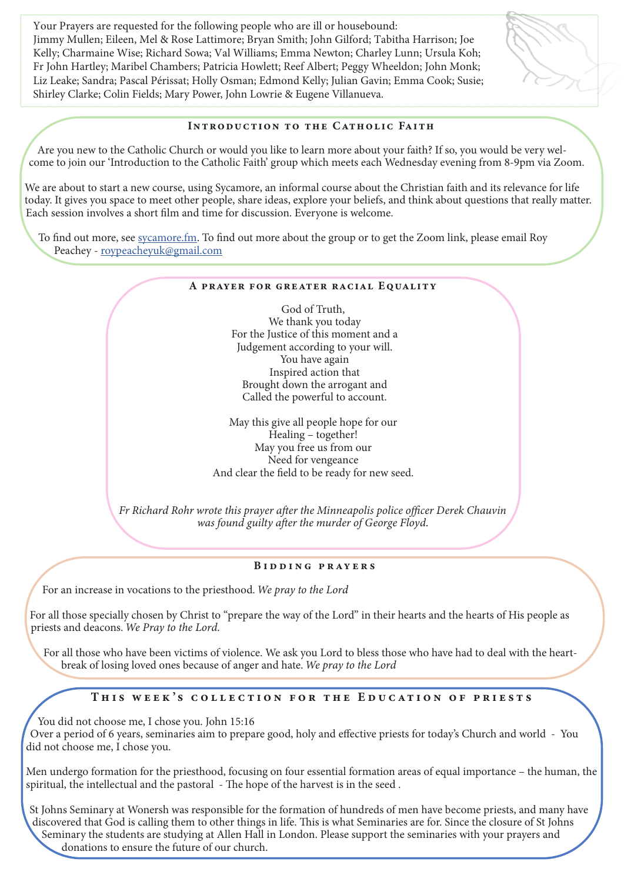Your Prayers are requested for the following people who are ill or housebound: Jimmy Mullen; Eileen, Mel & Rose Lattimore; Bryan Smith; John Gilford; Tabitha Harrison; Joe Kelly; Charmaine Wise; Richard Sowa; Val Williams; Emma Newton; Charley Lunn; Ursula Koh; Fr John Hartley; Maribel Chambers; Patricia Howlett; Reef Albert; Peggy Wheeldon; John Monk; Liz Leake; Sandra; Pascal Périssat; Holly Osman; Edmond Kelly; Julian Gavin; Emma Cook; Susie; Shirley Clarke; Colin Fields; Mary Power, John Lowrie & Eugene Villanueva.

### Introduction to the Catholic Faith

Are you new to the Catholic Church or would you like to learn more about your faith? If so, you would be very welcome to join our 'Introduction to the Catholic Faith' group which meets each Wednesday evening from 8-9pm via Zoom.

We are about to start a new course, using Sycamore, an informal course about the Christian faith and its relevance for life today. It gives you space to meet other people, share ideas, explore your beliefs, and think about questions that really matter. Each session involves a short film and time for discussion. Everyone is welcome.

To find out more, see sycamore.fm. To find out more about the group or to get the Zoom link, please email Roy Peachey - roypeacheyuk@gmail.com

#### A PRAYER FOR GREATER RACIAL EQUALITY

God of Truth, We thank you today For the Justice of this moment and a Judgement according to your will. You have again Inspired action that Brought down the arrogant and Called the powerful to account.

May this give all people hope for our Healing – together! May you free us from our Need for vengeance And clear the field to be ready for new seed.

*Fr Richard Rohr wrote this prayer after the Minneapolis police officer Derek Chauvin was found guilty after the murder of George Floyd.*

#### Bidding prayers

For an increase in vocations to the priesthood. *We pray to the Lord*

For all those specially chosen by Christ to "prepare the way of the Lord" in their hearts and the hearts of His people as priests and deacons. *We Pray to the Lord.*

For all those who have been victims of violence. We ask you Lord to bless those who have had to deal with the heartbreak of losing loved ones because of anger and hate. *We pray to the Lord*

## This week 's collection for the Education of priests

You did not choose me, I chose you. John 15:16 Over a period of 6 years, seminaries aim to prepare good, holy and effective priests for today's Church and world - You did not choose me, I chose you.

Men undergo formation for the priesthood, focusing on four essential formation areas of equal importance – the human, the spiritual, the intellectual and the pastoral - The hope of the harvest is in the seed .

 St Johns Seminary at Wonersh was responsible for the formation of hundreds of men have become priests, and many have discovered that God is calling them to other things in life. This is what Seminaries are for. Since the closure of St Johns Seminary the students are studying at Allen Hall in London. Please support the seminaries with your prayers and donations to ensure the future of our church.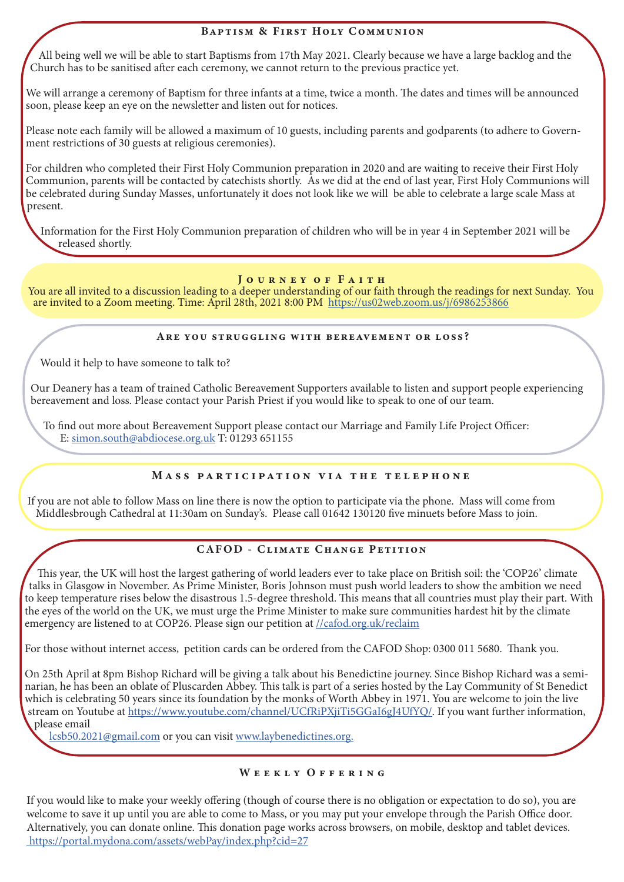## Baptism & First Holy Communion

All being well we will be able to start Baptisms from 17th May 2021. Clearly because we have a large backlog and the Church has to be sanitised after each ceremony, we cannot return to the previous practice yet.

We will arrange a ceremony of Baptism for three infants at a time, twice a month. The dates and times will be announced soon, please keep an eye on the newsletter and listen out for notices.

Please note each family will be allowed a maximum of 10 guests, including parents and godparents (to adhere to Government restrictions of 30 guests at religious ceremonies).

For children who completed their First Holy Communion preparation in 2020 and are waiting to receive their First Holy Communion, parents will be contacted by catechists shortly. As we did at the end of last year, First Holy Communions will be celebrated during Sunday Masses, unfortunately it does not look like we will be able to celebrate a large scale Mass at present.

Information for the First Holy Communion preparation of children who will be in year 4 in September 2021 will be released shortly.

#### JOURNEY OF FAITH

You are all invited to a discussion leading to a deeper understanding of our faith through the readings for next Sunday. You are invited to a Zoom meeting. Time: April 28th, 2021 8:00 PM https://us02web.zoom.us/j/6986253866

#### Are you struggling with bereavement or loss?

Would it help to have someone to talk to?

Our Deanery has a team of trained Catholic Bereavement Supporters available to listen and support people experiencing bereavement and loss. Please contact your Parish Priest if you would like to speak to one of our team.

To find out more about Bereavement Support please contact our Marriage and Family Life Project Officer: E: simon.south@abdiocese.org.uk T: 01293 651155

## Mass participation via the telephone

If you are not able to follow Mass on line there is now the option to participate via the phone. Mass will come from Middlesbrough Cathedral at 11:30am on Sunday's. Please call 01642 130120 five minuets before Mass to join.

## CAFOD - Climate Change Petition

This year, the UK will host the largest gathering of world leaders ever to take place on British soil: the 'COP26' climate talks in Glasgow in November. As Prime Minister, Boris Johnson must push world leaders to show the ambition we need to keep temperature rises below the disastrous 1.5-degree threshold. This means that all countries must play their part. With the eyes of the world on the UK, we must urge the Prime Minister to make sure communities hardest hit by the climate emergency are listened to at COP26. Please sign our petition at //cafod.org.uk/reclaim

For those without internet access, petition cards can be ordered from the CAFOD Shop: 0300 011 5680. Thank you.

On 25th April at 8pm Bishop Richard will be giving a talk about his Benedictine journey. Since Bishop Richard was a seminarian, he has been an oblate of Pluscarden Abbey. This talk is part of a series hosted by the Lay Community of St Benedict which is celebrating 50 years since its foundation by the monks of Worth Abbey in 1971. You are welcome to join the live stream on Youtube at https://www.youtube.com/channel/UCfRiPXjiTi5GGaI6gJ4UfYQ/. If you want further information, please email

lcsb50.2021@gmail.com or you can visit www.laybenedictines.org.

### WEEKLY OFFERING

If you would like to make your weekly offering (though of course there is no obligation or expectation to do so), you are welcome to save it up until you are able to come to Mass, or you may put your envelope through the Parish Office door. Alternatively, you can donate online. This donation page works across browsers, on mobile, desktop and tablet devices. https://portal.mydona.com/assets/webPay/index.php?cid=27